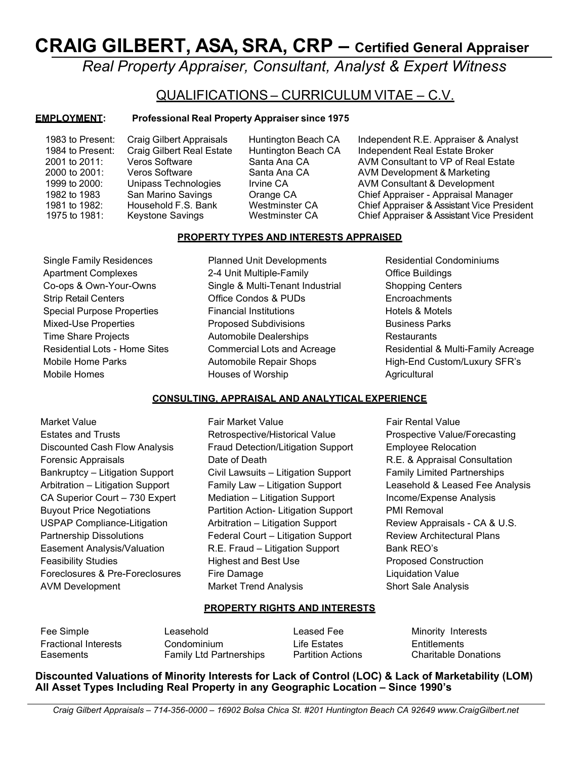# CRAIG GILBERT, ASA, SRA, CRP – Certified General Appraiser

Real Property Appraiser, Consultant, Analyst & Expert Witness

# QUALIFICATIONS – CURRICULUM VITAE – C.V.

# EMPLOYMENT: Professional Real Property Appraiser since 1975

1983 to Present: Craig Gilbert Appraisals Huntington Beach CA Independent R.E. Appraiser & Analyst 1984 to Present: Craig Gilbert Real Estate Huntington Beach CA Independent Real Estate Broker 2001 to 2011: Veros Software Santa Ana CA AVM Consultant to VP of Real Estate 2000 to 2001: Veros Software Santa Ana CA AVM Development & Marketing<br>1999 to 2000: Unipass Technologies Irvine CA AVM Consultant & Developmen 1999 to 2000: Unipass Technologies Irvine CA AVM Consultant & Development 1982 to 1983 San Marino Savings Orange CA Chief Appraiser - Appraisal Manager 1981 to 1982: Household F.S. Bank Westminster CA Chief Appraiser & Assistant Vice President<br>1975 to 1981: Keystone Savings Westminster CA Chief Appraiser & Assistant Vice President

Chief Appraiser & Assistant Vice President

# PROPERTY TYPES AND INTERESTS APPRAISED

- 
- Single Family Residences Planned Unit Developments Residential Condominiums Apartment Complexes 2-4 Unit Multiple-Family Changes Designation Changes Co-ops & Own-Your-Owns Single & Multi-Tenant Industrial Shopping Centers Strip Retail Centers Office Condos & PUDs Encroachments Special Purpose Properties Financial Institutions Ferraitions Hotels & Motels & Motels Mixed-Use Properties **Proposed Subdivisions** Proposed Subdivisions Business Parks Time Share Projects **Automobile Dealerships** Restaurants Mobile Homes **Houses of Worship Agricultural** Houses of Worship

Residential Lots - Home Sites Commercial Lots and Acreage Residential & Multi-Family Acreage Mobile Home Parks **Automobile Repair Shops** Automobile Repair Shops High-End Custom/Luxury SFR's

# CONSULTING, APPRAISAL AND ANALYTICAL EXPERIENCE

- Market Value Fair Market Value Fair Rental Value AVM Development **Market Trend Analysis** Short Sale Analysis
- Estates and Trusts Retrospective/Historical Value Prospective Value/Forecasting Discounted Cash Flow Analysis Fraud Detection/Litigation Support Employee Relocation Forensic Appraisals Date of Death R.E. & Appraisal Consultation Bankruptcy – Litigation Support Civil Lawsuits – Litigation Support Family Limited Partnerships Arbitration – Litigation Support Family Law – Litigation Support Leasehold & Leased Fee Analysis CA Superior Court – 730 Expert Mediation – Litigation Support Income/Expense Analysis Buyout Price Negotiations Partition Action- Litigation Support PMI Removal USPAP Compliance-Litigation **Arbitration – Litigation Support** Review Appraisals - CA & U.S. Partnership Dissolutions Federal Court – Litigation Support Review Architectural Plans Easement Analysis/Valuation **R.E. Fraud – Litigation Support** Bank REO's Feasibility Studies **Highest and Best Use Proposed Construction** Foreclosures & Pre-Foreclosures Fire Damage Liquidation Value
- 

# PROPERTY RIGHTS AND INTERESTS

Fee Simple **Leasehold** Chronic Leasehold Chronic Leased Fee Chronic Minority Interests

Fractional Interests Condominium Life Estates Entitlements Easements Family Ltd Partnerships Partition Actions Charitable Donations

Discounted Valuations of Minority Interests for Lack of Control (LOC) & Lack of Marketability (LOM) All Asset Types Including Real Property in any Geographic Location – Since 1990's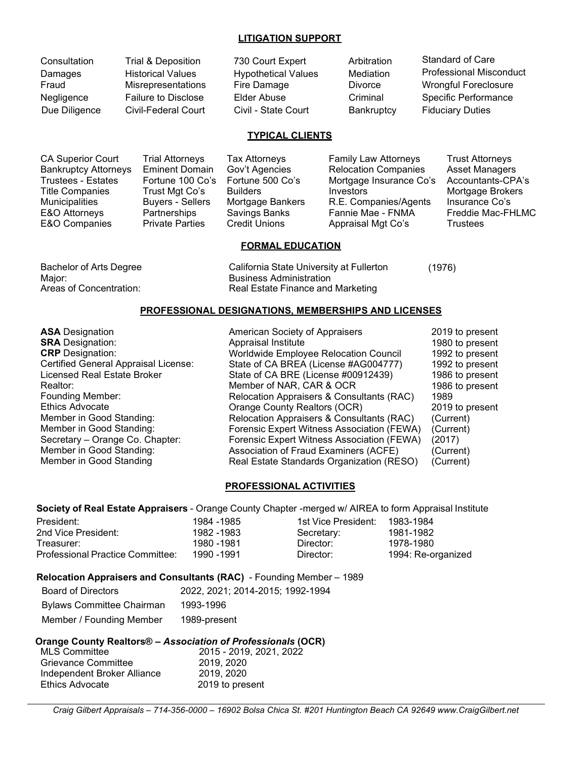#### LITIGATION SUPPORT

| Trial & Deposition         | 730 Court Expert           | Arbitration         | <b>Standard of Care</b>        |
|----------------------------|----------------------------|---------------------|--------------------------------|
| <b>Historical Values</b>   | <b>Hypothetical Values</b> | Mediation           | <b>Professional Misconduct</b> |
|                            | Fire Damage                | <b>Divorce</b>      | <b>Wrongful Foreclosure</b>    |
| <b>Failure to Disclose</b> | Elder Abuse                | Criminal            | <b>Specific Performance</b>    |
| Civil-Federal Court        |                            | Bankruptcy          | <b>Fiduciary Duties</b>        |
|                            | Misrepresentations         | Civil - State Court |                                |

## TYPICAL CLIENTS

| <b>CA Superior Court</b>    | Trial Attorneys         | Tax Attorneys        | <b>Family Law Attorneys</b> | <b>Trust Attorneys</b> |
|-----------------------------|-------------------------|----------------------|-----------------------------|------------------------|
| <b>Bankruptcy Attorneys</b> | <b>Eminent Domain</b>   | Gov't Agencies       | <b>Relocation Companies</b> | <b>Asset Managers</b>  |
| Trustees - Estates          | Fortune 100 Co's        | Fortune 500 Co's     | Mortgage Insurance Co's     | Accountants-CPA's      |
| Title Companies             | Trust Mgt Co's          | <b>Builders</b>      | Investors                   | Mortgage Brokers       |
| Municipalities              | <b>Buyers - Sellers</b> | Mortgage Bankers     | R.E. Companies/Agents       | Insurance Co's         |
| E&O Attorneys               | Partnerships            | Savings Banks        | Fannie Mae - FNMA           | Freddie Mac-FHLMC      |
| E&O Companies               | <b>Private Parties</b>  | <b>Credit Unions</b> | Appraisal Mgt Co's          | <b>Trustees</b>        |

#### FORMAL EDUCATION

Bachelor of Arts Degree California State University at Fullerton (1976) Major: Major: Research Major: Research Major: Research Major: Research Major: Research Major: Research Major: R Areas of Concentration: Real Estate Finance and Marketing

# PROFESSIONAL DESIGNATIONS, MEMBERSHIPS AND LICENSES

ASA Designation American Society of Appraisers 2019 to present Appraisal Institute 1980 to present CRP Designation: <br>Certified General Appraisal License: State of CA BREA (License #AG004777) 1992 to present Certified General Appraisal License: State of CA BREA (License #AG004777) 1992 to present Licensed Real Estate Broker State of CA BRE (License #00912439) 1986 to present Realtor: 1986 to present<br>
Relocation Appraisers & Consultants (RAC) 1989<br>
Relocation Appraisers & Consultants (RAC) 1989 Founding Member: Relocation Appraisers & Consultants (RAC) 1989 Ethics Advocate Orange County Realtors (OCR) 2019 to present Member in Good Standing: The Relocation Appraisers & Consultants (RAC) (Current)<br>Member in Good Standing: The Relocation Expert Witness Association (FEWA) (Current) Member in Good Standing: Forensic Expert Witness Association (FEWA) (Current)<br>Secretary – Orange Co. Chapter: Forensic Expert Witness Association (FEWA) (2017) Secretary – Orange Co. Chapter: Forensic Expert Witness Association (FEWA) (2017)<br>Member in Good Standing: Association of Fraud Examiners (ACFE) (Currer Member in Good Standing: Association of Fraud Examiners (ACFE) (Current)<br>Member in Good Standing The Real Estate Standards Organization (RESO) (Current) Real Estate Standards Organization (RESO) (Current)

## PROFESSIONAL ACTIVITIES

#### Society of Real Estate Appraisers - Orange County Chapter -merged w/ AIREA to form Appraisal Institute

| President:                       | 1984 -1985 | 1st Vice President: | 1983-1984          |
|----------------------------------|------------|---------------------|--------------------|
| 2nd Vice President:              | 1982 -1983 | Secretary:          | 1981-1982          |
| Treasurer:                       | 1980 -1981 | Director:           | 1978-1980          |
| Professional Practice Committee: | 1990 -1991 | Director:           | 1994: Re-organized |

#### Relocation Appraisers and Consultants (RAC) - Founding Member – 1989

| <b>Board of Directors</b>        | 2022, 2021; 2014-2015; 1992-1994 |
|----------------------------------|----------------------------------|
| <b>Bylaws Committee Chairman</b> | 1993-1996                        |
| Member / Founding Member         | 1989-present                     |

#### Orange County Realtors® – Association of Professionals (OCR)

| <b>MLS Committee</b>        | 2015 - 2019, 2021, 2022 |
|-----------------------------|-------------------------|
| <b>Grievance Committee</b>  | 2019, 2020              |
| Independent Broker Alliance | 2019, 2020              |
| Ethics Advocate             | 2019 to present         |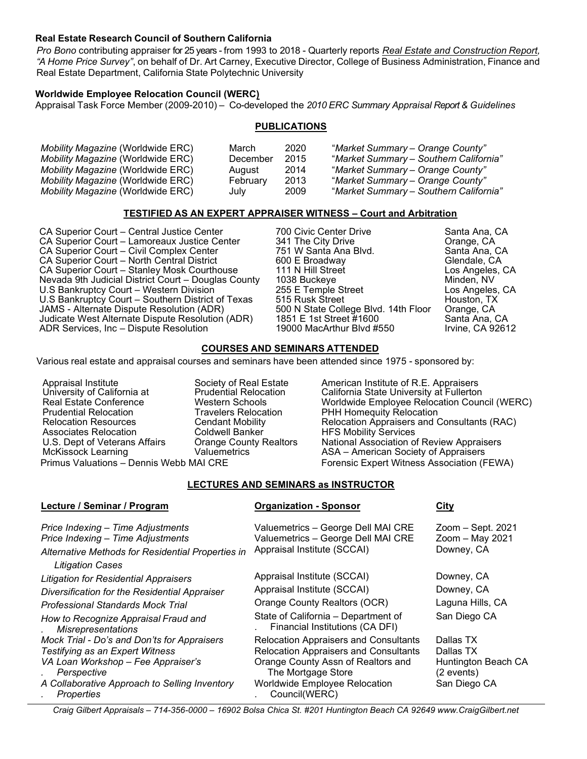## Real Estate Research Council of Southern California

Pro Bono contributing appraiser for 25 years - from 1993 to 2018 - Quarterly reports Real Estate and Construction Report, "A Home Price Survey", on behalf of Dr. Art Carney, Executive Director, College of Business Administration, Finance and Real Estate Department, California State Polytechnic University

## Worldwide Employee Relocation Council (WERC)

Appraisal Task Force Member (2009-2010) – Co-developed the 2010 ERC Summary Appraisal Report & Guidelines

## **PUBLICATIONS**

| Mobility Magazine (Worldwide ERC)          | March    | 2020 | "Market Summary - Orange County"       |
|--------------------------------------------|----------|------|----------------------------------------|
| <i>Mobility Magazine</i> (Worldwide ERC)   | December | 2015 | "Market Summary – Southern California" |
| <i>Mobility Maqazine (Wo</i> rldwide ERC)  | August   | 2014 | "Market Summary – Orange County"       |
| <i>Mobility Magazine</i> (Worldwide ERC) l | February | 2013 | "Market Summary – Orange County"       |
| <i>Mobility Magazine</i> (Worldwide ERC)   | July     | 2009 | "Market Summary – Southern California" |

## TESTIFIED AS AN EXPERT APPRAISER WITNESS – Court and Arbitration

CA Superior Court – Central Justice Center 700 Civic Center Drive Santa Ana, CA<br>CA Superior Court – Lamoreaux Justice Center 341 The City Drive Canage, CA CA Superior Court – Lamoreaux Justice Center CA Superior Court – Civil Complex Center 751 W Santa Ana Blvd. Santa Ana, CA CA Superior Court – North Central District CA Superior Court – Stanley Mosk Courthouse 111 N Hill Street Los Angeles, CA Nevada 9th Judicial District Court – Douglas County 1038 Buckeye Minden, NV<br>U.S Bankruptcy Court – Western Division 255 E Temple Street Los Angeles U.S Bankruptcy Court – Western Division 255 E Temple Street Los Angeles, CA<br>
U.S Bankruptcy Court – Southern District of Texas 515 Rusk Street Communisty Christon, TX U.S Bankruptcy Court - Southern District of Texas JAMS - Alternate Dispute Resolution (ADR) 500 N State College Blvd. 14th Floor Orange, CA Judicate West Alternate Dispute Resolution (ADR) ADR Services, Inc – Dispute Resolution 19000 MacArthur Blvd #550 Irvine, CA 92612

## COURSES AND SEMINARS ATTENDED

Various real estate and appraisal courses and seminars have been attended since 1975 - sponsored by:

University of California at Real Estate Conference Prudential Relocation Relocation Resources Cendant Mobility Associates Relocation

Coldwell Banker **Orange County Realtors** 

Lecture / Seminar / Program Organization - Sponsor City

Appraisal Institute Society of Real Estate American Institute of R.E. Appraisers<br>University of California at Prudential Relocation California State University at Fullertor California State University at Fullerton Western Schools Worldwide Employee Relocation Council (WERC) Travelers Relocation PHH Homequity Relocation Relocation Appraisers and Consultants (RAC) HFS Mobility Services U.S. Dept of Veterans Affairs Orange County Realtors National Association of Review Appraisers McKissock Learning Valuemetrics ASA – American Society of Appraisers Primus Valuations – Dennis Webb MAI CRE Forensic Expert Witness Association (FEWA)

# LECTURES AND SEMINARS as INSTRUCTOR

| Lecture / Ochmiai / I Togram                                                                                                                           | <b>UI YAIIILANUN - UDUNUU</b>                                                                           | <u>VILY</u>                                        |
|--------------------------------------------------------------------------------------------------------------------------------------------------------|---------------------------------------------------------------------------------------------------------|----------------------------------------------------|
| Price Indexing - Time Adjustments<br>Price Indexing - Time Adjustments<br>Alternative Methods for Residential Properties in<br><b>Litigation Cases</b> | Valuemetrics - George Dell MAI CRE<br>Valuemetrics - George Dell MAI CRE<br>Appraisal Institute (SCCAI) | Zoom - Sept. 2021<br>Zoom - May 2021<br>Downey, CA |
| <b>Litigation for Residential Appraisers</b>                                                                                                           | Appraisal Institute (SCCAI)                                                                             | Downey, CA                                         |
| Diversification for the Residential Appraiser                                                                                                          | Appraisal Institute (SCCAI)                                                                             | Downey, CA                                         |
| <b>Professional Standards Mock Trial</b>                                                                                                               | Orange County Realtors (OCR)                                                                            | Laguna Hills, CA                                   |
| How to Recognize Appraisal Fraud and<br><b>Misrepresentations</b>                                                                                      | State of California - Department of<br>Financial Institutions (CA DFI)                                  | San Diego CA                                       |
| Mock Trial - Do's and Don'ts for Appraisers                                                                                                            | <b>Relocation Appraisers and Consultants</b>                                                            | Dallas TX                                          |
| Testifying as an Expert Witness                                                                                                                        | <b>Relocation Appraisers and Consultants</b>                                                            | Dallas TX                                          |
| VA Loan Workshop - Fee Appraiser's<br>Perspective                                                                                                      | Orange County Assn of Realtors and<br>The Mortgage Store                                                | Huntington Beach CA<br>(2 events)                  |
| A Collaborative Approach to Selling Inventory<br>. Properties                                                                                          | <b>Worldwide Employee Relocation</b><br>. Council(WERC)                                                 | San Diego CA                                       |

Craig Gilbert Appraisals – 714-356-0000 – 16902 Bolsa Chica St. #201 Huntington Beach CA 92649 www.CraigGilbert.net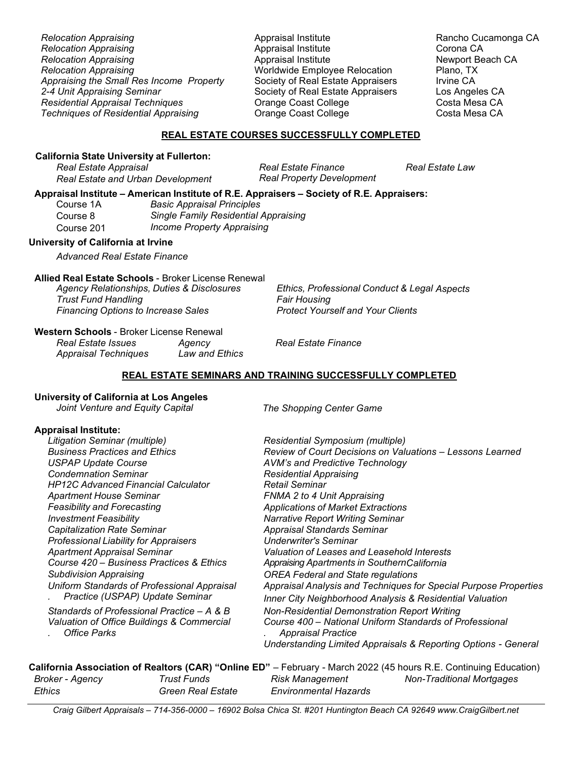| <b>Relocation Appraising</b>                |
|---------------------------------------------|
| <b>Relocation Appraising</b>                |
| <b>Relocation Appraising</b>                |
| <b>Relocation Appraising</b>                |
| Appraising the Small Res Income Property    |
| 2-4 Unit Appraising Seminar                 |
| <b>Residential Appraisal Techniques</b>     |
| <b>Techniques of Residential Appraising</b> |

Appraisal Institute **Appraisal Institute** Appraisal Appraisal Institute Rancho Cucamonga CA Appraisal Institute Corona CA Relocation Appraising Appraisal Institute Newport Beach CA Worldwide Employee Relocation Society of Real Estate Appraisers Irvine CA Society of Real Estate Appraisers Los Angeles CA **Orange Coast College Costa Mesa CA** Orange Coast College Costa Mesa CA

## REAL ESTATE COURSES SUCCESSFULLY COMPLETED

#### California State University at Fullerton:

Real Estate Appraisal and Real Estate Finance Real Estate Law<br>Real Estate and Urban Development Real Property Development Real Estate and Urban Development

## Appraisal Institute – American Institute of R.E. Appraisers – Society of R.E. Appraisers:

| Course 1A  | <b>Basic Appraisal Principles</b>           |
|------------|---------------------------------------------|
| Course 8   | <b>Single Family Residential Appraising</b> |
| Course 201 | <b>Income Property Appraising</b>           |

## University of California at Irvine

Advanced Real Estate Finance

## Allied Real Estate Schools - Broker License Renewal

Trust Fund Handling<br>Financing Options to Increase Sales Fund the Protect Yourself and Your Clients Financing Options to Increase Sales

Agency Relationships, Duties & Disclosures **Ethics, Professional Conduct & Legal Aspects** 

Western Schools - Broker License Renewal Real Estate Issues Agency Real Estate Finance Appraisal Techniques

## REAL ESTATE SEMINARS AND TRAINING SUCCESSFULLY COMPLETED

## University of California at Los Angeles

|  | Joint Venture and Equity Capital |  |  |  |  |
|--|----------------------------------|--|--|--|--|
|--|----------------------------------|--|--|--|--|

The Shopping Center Game

## Appraisal Institute:

Litigation Seminar (multiple) Residential Symposium (multiple) USPAP Update Course **AVM's and Predictive Technology** Condemnation Seminar **Residential Appraising** HP12C Advanced Financial Calculator Retail Seminar Apartment House Seminar **FRMA 2 to 4 Unit Appraising** Feasibility and Forecasting The Applications of Market Extractions Investment Feasibility Narrative Report Writing Seminar Capitalization Rate Seminar **Australian Standards** Seminar Appraisal Standards Seminar Professional Liability for Appraisers Underwriter's Seminar Subdivision Appraising OREA Federal and State regulations Uniform Standards of Professional Appraisal . Practice (USPAP) Update Seminar

Valuation of Office Buildings & Commercial . Office Parks

Business Practices and Ethics **Review of Court Decisions on Valuations** – Lessons Learned Apartment Appraisal Seminar Valuation of Leases and Leasehold Interests Course 420 – Business Practices & Ethics Appraising Apartments in SouthernCalifornia Appraisal Analysis and Techniques for Special Purpose Properties Inner City Neighborhood Analysis & Residential Valuation Standards of Professional Practice  $- A & B$  Non-Residential Demonstration Report Writing Course 400 – National Uniform Standards of Professional . Appraisal Practice Understanding Limited Appraisals & Reporting Options - General

# California Association of Realtors (CAR) "Online ED" – February - March 2022 (45 hours R.E. Continuing Education)

Ethics Green Real Estate Environmental Hazards

Broker - Agency **Trust Funds** Risk Management Non-Traditional Mortgages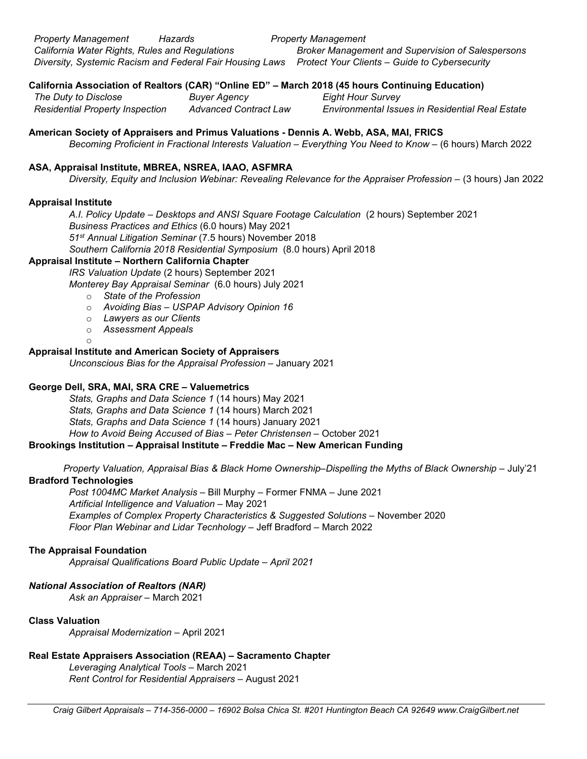Property Management Hazards **Property Management** California Water Rights, Rules and Regulations **Broker Management and Supervision of Salespersons** Diversity, Systemic Racism and Federal Fair Housing Laws Protect Your Clients – Guide to Cybersecurity

# California Association of Realtors (CAR) "Online ED" – March 2018 (45 hours Continuing Education)

The Duty to Disclose **Buyer Agency** Eight Hour Survey

Residential Property Inspection Advanced Contract Law Environmental Issues in Residential Real Estate

# American Society of Appraisers and Primus Valuations - Dennis A. Webb, ASA, MAI, FRICS

Becoming Proficient in Fractional Interests Valuation – Everything You Need to Know – (6 hours) March 2022

## ASA, Appraisal Institute, MBREA, NSREA, IAAO, ASFMRA

Diversity, Equity and Inclusion Webinar: Revealing Relevance for the Appraiser Profession – (3 hours) Jan 2022

## Appraisal Institute

A.I. Policy Update – Desktops and ANSI Square Footage Calculation (2 hours) September 2021 Business Practices and Ethics (6.0 hours) May 2021 51st Annual Litigation Seminar (7.5 hours) November 2018 Southern California 2018 Residential Symposium (8.0 hours) April 2018

# Appraisal Institute – Northern California Chapter

IRS Valuation Update (2 hours) September 2021

Monterey Bay Appraisal Seminar (6.0 hours) July 2021

- o State of the Profession
- o Avoiding Bias USPAP Advisory Opinion 16
- o Lawyers as our Clients
- o Assessment Appeals

#### o Appraisal Institute and American Society of Appraisers

Unconscious Bias for the Appraisal Profession – January 2021

## George Dell, SRA, MAI, SRA CRE – Valuemetrics

Stats, Graphs and Data Science 1 (14 hours) May 2021

Stats, Graphs and Data Science 1 (14 hours) March 2021

Stats, Graphs and Data Science 1 (14 hours) January 2021

How to Avoid Being Accused of Bias – Peter Christensen – October 2021

## Brookings Institution – Appraisal Institute – Freddie Mac – New American Funding

Property Valuation, Appraisal Bias & Black Home Ownership–Dispelling the Myths of Black Ownership – July'21 Bradford Technologies

 Post 1004MC Market Analysis – Bill Murphy – Former FNMA – June 2021 Artificial Intelligence and Valuation – May 2021 Examples of Complex Property Characteristics & Suggested Solutions – November 2020 Floor Plan Webinar and Lidar Tecnhology – Jeff Bradford – March 2022

## The Appraisal Foundation

Appraisal Qualifications Board Public Update – April 2021

# National Association of Realtors (NAR)

Ask an Appraiser – March 2021

# Class Valuation

Appraisal Modernization – April 2021

# Real Estate Appraisers Association (REAA) – Sacramento Chapter

 Leveraging Analytical Tools – March 2021 Rent Control for Residential Appraisers – August 2021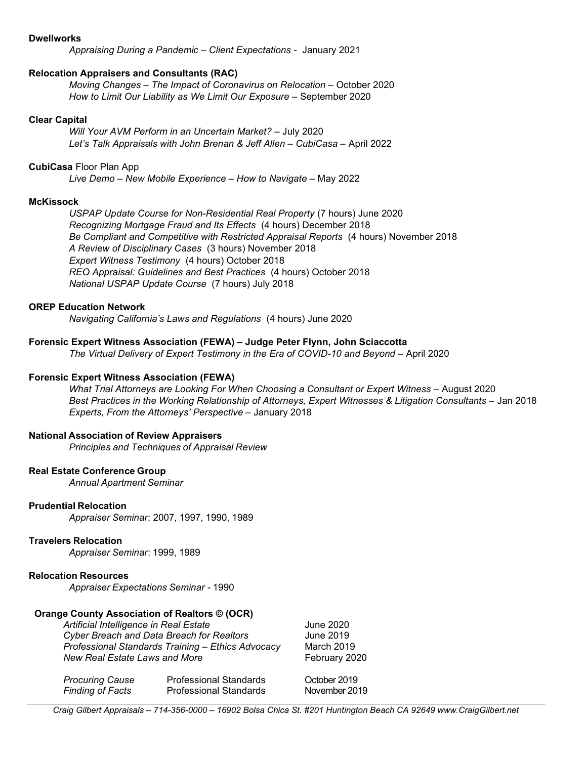#### **Dwellworks**

Appraising During a Pandemic – Client Expectations - January 2021

#### Relocation Appraisers and Consultants (RAC)

 Moving Changes – The Impact of Coronavirus on Relocation – October 2020 How to Limit Our Liability as We Limit Our Exposure – September 2020

#### Clear Capital

Will Your AVM Perform in an Uncertain Market? – July 2020 Let's Talk Appraisals with John Brenan & Jeff Allen – CubiCasa – April 2022

#### CubiCasa Floor Plan App

Live Demo – New Mobile Experience – How to Navigate – May 2022

#### **McKissock**

USPAP Update Course for Non-Residential Real Property (7 hours) June 2020 Recognizing Mortgage Fraud and Its Effects (4 hours) December 2018 Be Compliant and Competitive with Restricted Appraisal Reports (4 hours) November 2018 A Review of Disciplinary Cases (3 hours) November 2018 Expert Witness Testimony (4 hours) October 2018 REO Appraisal: Guidelines and Best Practices (4 hours) October 2018 National USPAP Update Course (7 hours) July 2018

#### OREP Education Network

Navigating California's Laws and Regulations (4 hours) June 2020

### Forensic Expert Witness Association (FEWA) – Judge Peter Flynn, John Sciaccotta

The Virtual Delivery of Expert Testimony in the Era of COVID-10 and Beyond – April 2020

#### Forensic Expert Witness Association (FEWA)

What Trial Attorneys are Looking For When Choosing a Consultant or Expert Witness – August 2020 Best Practices in the Working Relationship of Attorneys, Expert Witnesses & Litigation Consultants – Jan 2018 Experts, From the Attorneys' Perspective – January 2018

## National Association of Review Appraisers

Principles and Techniques of Appraisal Review

#### Real Estate Conference Group

Annual Apartment Seminar

#### Prudential Relocation

Appraiser Seminar: 2007, 1997, 1990, 1989

#### Travelers Relocation

Appraiser Seminar: 1999, 1989

## Relocation Resources

Appraiser Expectations Seminar - 1990

## Orange County Association of Realtors © (OCR)

| Artificial Intelligence in Real Estate            | June 2020     |
|---------------------------------------------------|---------------|
| Cyber Breach and Data Breach for Realtors         | June 2019     |
| Professional Standards Training - Ethics Advocacy | March 2019    |
| New Real Estate Laws and More                     | February 2020 |
|                                                   |               |
|                                                   |               |

| <b>Procuring Cause</b>  | <b>Professional Standards</b> | October 2019  |
|-------------------------|-------------------------------|---------------|
| <b>Finding of Facts</b> | <b>Professional Standards</b> | November 2019 |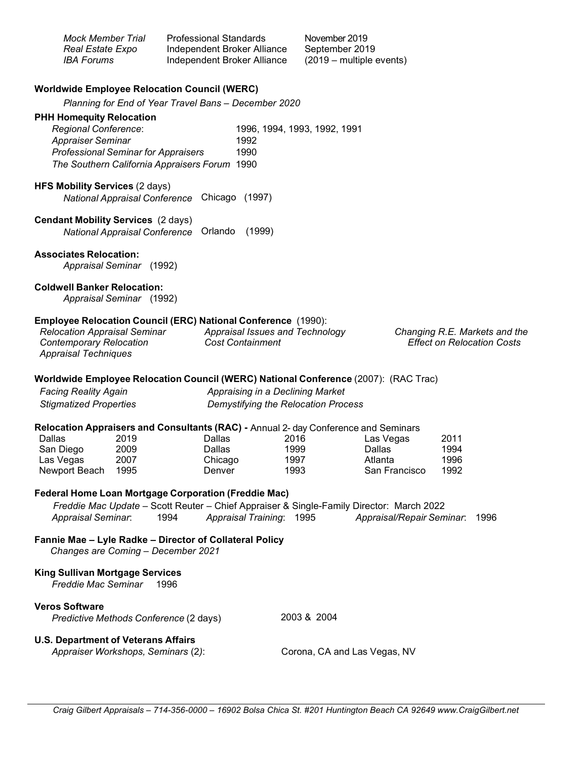| <b>Mock Member Trial</b><br>Real Estate Expo<br><b>IBA Forums</b>                                                                                                                                                                                             |              | <b>Professional Standards</b><br>Independent Broker Alliance<br>Independent Broker Alliance |                                                            | November 2019<br>September 2019<br>(2019 – multiple events) |                                                                    |                      |  |  |
|---------------------------------------------------------------------------------------------------------------------------------------------------------------------------------------------------------------------------------------------------------------|--------------|---------------------------------------------------------------------------------------------|------------------------------------------------------------|-------------------------------------------------------------|--------------------------------------------------------------------|----------------------|--|--|
| <b>Worldwide Employee Relocation Council (WERC)</b>                                                                                                                                                                                                           |              |                                                                                             |                                                            |                                                             |                                                                    |                      |  |  |
| Planning for End of Year Travel Bans - December 2020                                                                                                                                                                                                          |              |                                                                                             |                                                            |                                                             |                                                                    |                      |  |  |
| <b>PHH Homequity Relocation</b><br><b>Regional Conference:</b><br>1996, 1994, 1993, 1992, 1991<br><b>Appraiser Seminar</b><br>1992<br><b>Professional Seminar for Appraisers</b><br>1990<br>The Southern California Appraisers Forum 1990                     |              |                                                                                             |                                                            |                                                             |                                                                    |                      |  |  |
| <b>HFS Mobility Services (2 days)</b><br>Chicago (1997)<br><b>National Appraisal Conference</b>                                                                                                                                                               |              |                                                                                             |                                                            |                                                             |                                                                    |                      |  |  |
| <b>Cendant Mobility Services (2 days)</b><br>National Appraisal Conference Orlando<br>(1999)                                                                                                                                                                  |              |                                                                                             |                                                            |                                                             |                                                                    |                      |  |  |
| <b>Associates Relocation:</b><br>Appraisal Seminar (1992)                                                                                                                                                                                                     |              |                                                                                             |                                                            |                                                             |                                                                    |                      |  |  |
| <b>Coldwell Banker Relocation:</b><br>Appraisal Seminar (1992)                                                                                                                                                                                                |              |                                                                                             |                                                            |                                                             |                                                                    |                      |  |  |
| <b>Employee Relocation Council (ERC) National Conference (1990):</b><br><b>Relocation Appraisal Seminar</b><br><b>Contemporary Relocation</b><br><b>Appraisal Techniques</b>                                                                                  |              |                                                                                             | Appraisal Issues and Technology<br><b>Cost Containment</b> |                                                             | Changing R.E. Markets and the<br><b>Effect on Relocation Costs</b> |                      |  |  |
| Worldwide Employee Relocation Council (WERC) National Conference (2007): (RAC Trac)<br><b>Facing Reality Again</b><br>Appraising in a Declining Market<br><b>Stigmatized Properties</b><br>Demystifying the Relocation Process                                |              |                                                                                             |                                                            |                                                             |                                                                    |                      |  |  |
| Relocation Appraisers and Consultants (RAC) - Annual 2- day Conference and Seminars                                                                                                                                                                           |              |                                                                                             |                                                            |                                                             |                                                                    |                      |  |  |
| Dallas                                                                                                                                                                                                                                                        | 2019         | Dallas                                                                                      | 2016                                                       |                                                             | Las Vegas                                                          | 2011                 |  |  |
| San Diego<br>Las Vegas<br>Newport Beach 1995                                                                                                                                                                                                                  | 2009<br>2007 | Dallas<br>Chicago<br>Denver                                                                 | 1999<br>1997<br>1993                                       |                                                             | Dallas<br>Atlanta<br>San Francisco                                 | 1994<br>1996<br>1992 |  |  |
| <b>Federal Home Loan Mortgage Corporation (Freddie Mac)</b><br>Freddie Mac Update - Scott Reuter - Chief Appraiser & Single-Family Director: March 2022<br>1994<br>Appraisal Training: 1995<br><b>Appraisal Seminar:</b><br>Appraisal/Repair Seminar:<br>1996 |              |                                                                                             |                                                            |                                                             |                                                                    |                      |  |  |
| Fannie Mae - Lyle Radke - Director of Collateral Policy<br>Changes are Coming - December 2021                                                                                                                                                                 |              |                                                                                             |                                                            |                                                             |                                                                    |                      |  |  |
| <b>King Sullivan Mortgage Services</b><br>Freddie Mac Seminar<br>1996                                                                                                                                                                                         |              |                                                                                             |                                                            |                                                             |                                                                    |                      |  |  |
| <b>Veros Software</b><br>Predictive Methods Conference (2 days)                                                                                                                                                                                               |              |                                                                                             |                                                            | 2003 & 2004                                                 |                                                                    |                      |  |  |
| <b>U.S. Department of Veterans Affairs</b><br>Appraiser Workshops, Seminars (2):                                                                                                                                                                              |              |                                                                                             |                                                            | Corona, CA and Las Vegas, NV                                |                                                                    |                      |  |  |